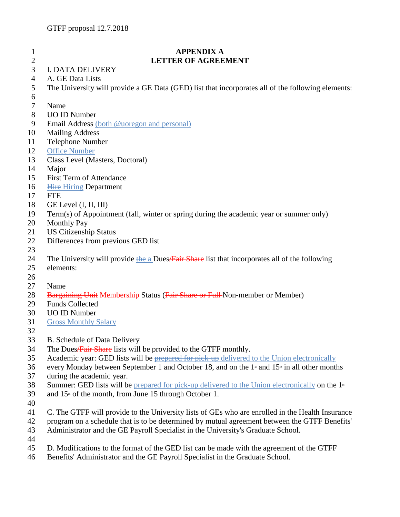| $\mathbf{I}$        | <b>APPENDIX A</b>                                                                                                    |
|---------------------|----------------------------------------------------------------------------------------------------------------------|
| $\overline{2}$<br>3 | <b>LETTER OF AGREEMENT</b>                                                                                           |
|                     | <b>I. DATA DELIVERY</b>                                                                                              |
| 4                   | A. GE Data Lists                                                                                                     |
| 5                   | The University will provide a GE Data (GED) list that incorporates all of the following elements:                    |
| 6<br>7              | Name                                                                                                                 |
| 8                   | <b>UO ID Number</b>                                                                                                  |
| 9                   | Email Address (both @uoregon and personal)                                                                           |
| 10                  | <b>Mailing Address</b>                                                                                               |
| 11                  | Telephone Number                                                                                                     |
| 12                  | <b>Office Number</b>                                                                                                 |
| 13                  | Class Level (Masters, Doctoral)                                                                                      |
| 14                  | Major                                                                                                                |
| 15                  | First Term of Attendance                                                                                             |
| 16                  | <b>Hire Hiring Department</b>                                                                                        |
| 17                  | <b>FTE</b>                                                                                                           |
| 18                  | GE Level (I, II, III)                                                                                                |
| 19                  | Term(s) of Appointment (fall, winter or spring during the academic year or summer only)                              |
| 20                  | <b>Monthly Pay</b>                                                                                                   |
| 21                  | <b>US Citizenship Status</b>                                                                                         |
| 22                  | Differences from previous GED list                                                                                   |
| 23                  |                                                                                                                      |
| 24                  | The University will provide the a Dues/Fair Share list that incorporates all of the following                        |
| 25                  | elements:                                                                                                            |
| 26                  |                                                                                                                      |
| 27                  | Name                                                                                                                 |
| 28                  | <b>Bargaining Unit Membership Status (Fair Share or Full-Non-member or Member)</b>                                   |
| 29                  | <b>Funds Collected</b>                                                                                               |
| 30                  | <b>UO ID Number</b>                                                                                                  |
| 31                  | <b>Gross Monthly Salary</b>                                                                                          |
| 32                  |                                                                                                                      |
| 33                  | B. Schedule of Data Delivery                                                                                         |
| 34                  | The Dues/Fair Share lists will be provided to the GTFF monthly.                                                      |
| 35                  | Academic year: GED lists will be prepared for pick up delivered to the Union electronically                          |
| 36                  | every Monday between September 1 and October 18, and on the 1 <sup>st</sup> and 15 <sup>th</sup> in all other months |
| 37                  | during the academic year.                                                                                            |
| 38                  | Summer: GED lists will be prepared for pick-up delivered to the Union electronically on the $1$ <sup>*</sup>         |
| 39<br>40            | and $15th$ of the month, from June 15 through October 1.                                                             |
| 41                  | C. The GTFF will provide to the University lists of GEs who are enrolled in the Health Insurance                     |
| 42                  | program on a schedule that is to be determined by mutual agreement between the GTFF Benefits'                        |
| 43                  | Administrator and the GE Payroll Specialist in the University's Graduate School.                                     |

- 
- 45 D. Modifications to the format of the GED list can be made with the agreement of the GTFF 46 Benefits' Administrator and the GE Payroll Specialist in the Graduate School.
- Benefits' Administrator and the GE Payroll Specialist in the Graduate School.